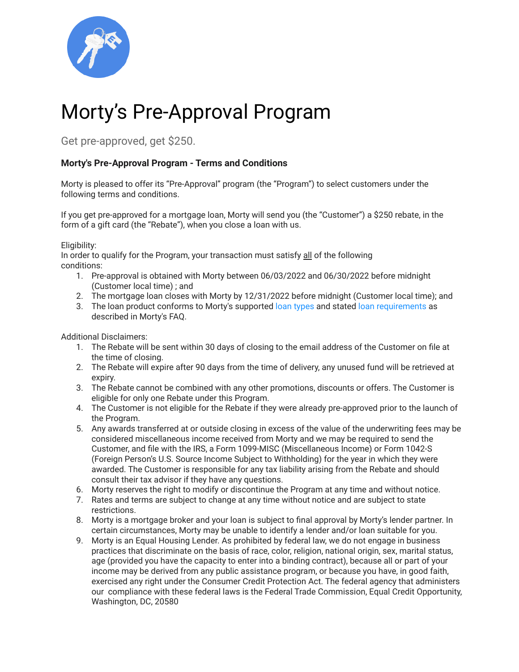

## Morty's Pre-Approval Program

Get pre-approved, get \$250.

## **Morty's Pre-Approval Program - Terms and Conditions**

Morty is pleased to offer its "Pre-Approval" program (the "Program") to select customers under the following terms and conditions.

If you get pre-approved for a mortgage loan, Morty will send you (the "Customer") a \$250 rebate, in the form of a gift card (the "Rebate"), when you close a loan with us.

Eligibility:

In order to qualify for the Program, your transaction must satisfy all of the following conditions:

- 1. Pre-approval is obtained with Morty between 06/03/2022 and 06/30/2022 before midnight (Customer local time) ; and
- 2. The mortgage loan closes with Morty by 12/31/2022 before midnight (Customer local time); and
- 3. The loan product conforms to Morty's supported loan [types](https://www.morty.com/faqs#mortys-loan-types) and stated loan [requirements](https://www.morty.com/faqs#mortys-loan-recommendations) as described in Morty's FAQ.

Additional Disclaimers:

- 1. The Rebate will be sent within 30 days of closing to the email address of the Customer on file at the time of closing.
- 2. The Rebate will expire after 90 days from the time of delivery, any unused fund will be retrieved at expiry.
- 3. The Rebate cannot be combined with any other promotions, discounts or offers. The Customer is eligible for only one Rebate under this Program.
- 4. The Customer is not eligible for the Rebate if they were already pre-approved prior to the launch of the Program.
- 5. Any awards transferred at or outside closing in excess of the value of the underwriting fees may be considered miscellaneous income received from Morty and we may be required to send the Customer, and file with the IRS, a Form 1099-MISC (Miscellaneous Income) or Form 1042-S (Foreign Person's U.S. Source Income Subject to Withholding) for the year in which they were awarded. The Customer is responsible for any tax liability arising from the Rebate and should consult their tax advisor if they have any questions.
- 6. Morty reserves the right to modify or discontinue the Program at any time and without notice.
- 7. Rates and terms are subject to change at any time without notice and are subject to state restrictions.
- 8. Morty is a mortgage broker and your loan is subject to final approval by Morty's lender partner. In certain circumstances, Morty may be unable to identify a lender and/or loan suitable for you.
- 9. Morty is an Equal Housing Lender. As prohibited by federal law, we do not engage in business practices that discriminate on the basis of race, color, religion, national origin, sex, marital status, age (provided you have the capacity to enter into a binding contract), because all or part of your income may be derived from any public assistance program, or because you have, in good faith, exercised any right under the Consumer Credit Protection Act. The federal agency that administers our compliance with these federal laws is the Federal Trade Commission, Equal Credit Opportunity, Washington, DC, 20580